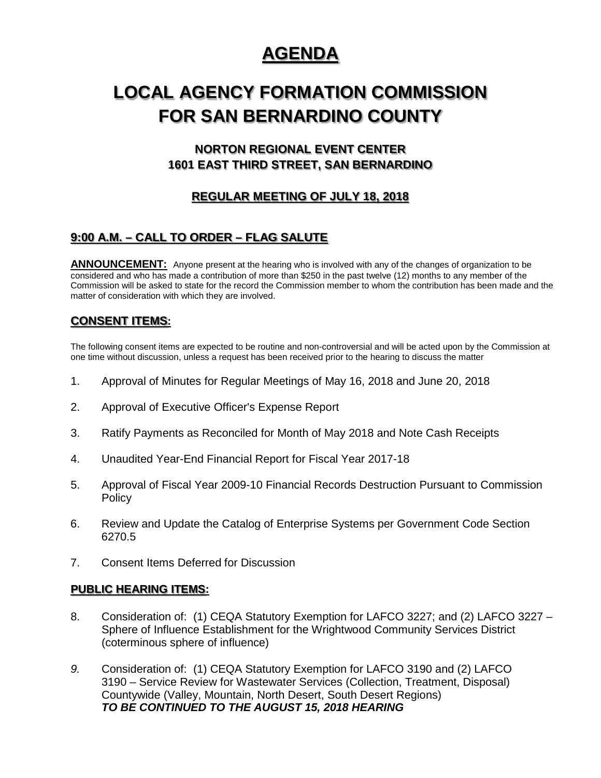# **AGENDA**

# **LOCAL AGENCY FORMATION COMMISSION FOR SAN BERNARDINO COUNTY**

## **NORTON REGIONAL EVENT CENTER 1601 EAST THIRD STREET, SAN BERNARDINO**

## **REGULAR MEETING OF JULY 18, 2018**

## **9:00 A.M. – CALL TO ORDER – FLAG SALUTE**

**ANNOUNCEMENT:** Anyone present at the hearing who is involved with any of the changes of organization to be considered and who has made a contribution of more than \$250 in the past twelve (12) months to any member of the Commission will be asked to state for the record the Commission member to whom the contribution has been made and the matter of consideration with which they are involved.

### **CONSENT ITEMS:**

The following consent items are expected to be routine and non-controversial and will be acted upon by the Commission at one time without discussion, unless a request has been received prior to the hearing to discuss the matter

- 1. Approval of Minutes for Regular Meetings of May 16, 2018 and June 20, 2018
- 2. Approval of Executive Officer's Expense Report
- 3. Ratify Payments as Reconciled for Month of May 2018 and Note Cash Receipts
- 4. Unaudited Year-End Financial Report for Fiscal Year 2017-18
- 5. Approval of Fiscal Year 2009-10 Financial Records Destruction Pursuant to Commission **Policy**
- 6. Review and Update the Catalog of Enterprise Systems per Government Code Section 6270.5
- 7. Consent Items Deferred for Discussion

#### **PUBLIC HEARING ITEMS:**

- 8. Consideration of: (1) CEQA Statutory Exemption for LAFCO 3227; and (2) LAFCO 3227 Sphere of Influence Establishment for the Wrightwood Community Services District (coterminous sphere of influence)
- *9.* Consideration of: (1) CEQA Statutory Exemption for LAFCO 3190 and (2) LAFCO 3190 – Service Review for Wastewater Services (Collection, Treatment, Disposal) Countywide (Valley, Mountain, North Desert, South Desert Regions) *TO BE CONTINUED TO THE AUGUST 15, 2018 HEARING*